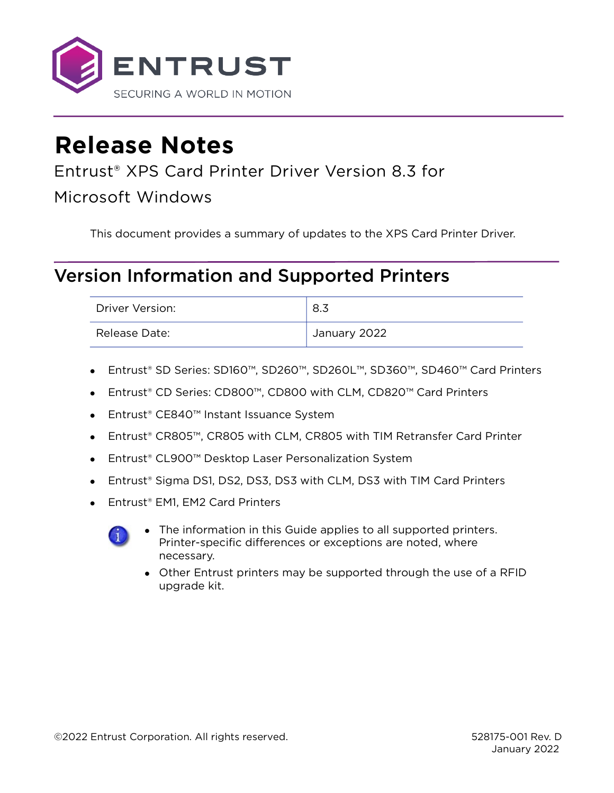

# **Release Notes**

### Entrust® XPS Card Printer Driver Version 8.3 for

Microsoft Windows

This document provides a summary of updates to the XPS Card Printer Driver.

## Version Information and Supported Printers

| Driver Version: | 8.3          |
|-----------------|--------------|
| Release Date:   | January 2022 |

- Entrust® SD Series: SD160™, SD260™, SD260L™, SD360™, SD460™ Card Printers
- Entrust® CD Series: CD800™, CD800 with CLM, CD820™ Card Printers
- Entrust® CE840™ Instant Issuance System
- Entrust® CR805™, CR805 with CLM, CR805 with TIM Retransfer Card Printer
- Entrust® CL900™ Desktop Laser Personalization System
- Entrust® Sigma DS1, DS2, DS3, DS3 with CLM, DS3 with TIM Card Printers
- Entrust<sup>®</sup> EM1, EM2 Card Printers



- The information in this Guide applies to all supported printers. Printer-specific differences or exceptions are noted, where necessary.
- Other Entrust printers may be supported through the use of a RFID upgrade kit.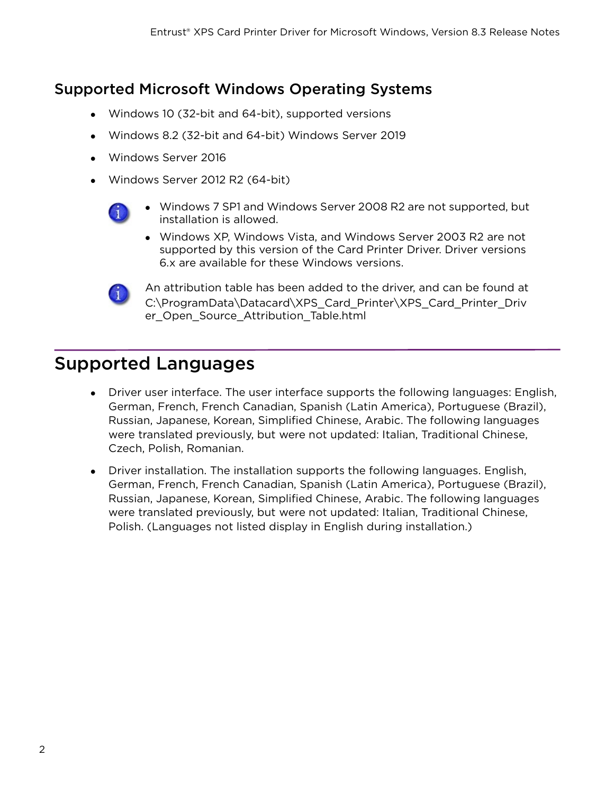#### Supported Microsoft Windows Operating Systems

- Windows 10 (32-bit and 64-bit), supported versions
- Windows 8.2 (32-bit and 64-bit) Windows Server 2019
- Windows Server 2016
- Windows Server 2012 R2 (64-bit)



- Windows 7 SP1 and Windows Server 2008 R2 are not supported, but installation is allowed.
- Windows XP, Windows Vista, and Windows Server 2003 R2 are not supported by this version of the Card Printer Driver. Driver versions 6.x are available for these Windows versions.



An attribution table has been added to the driver, and can be found at C:\ProgramData\Datacard\XPS\_Card\_Printer\XPS\_Card\_Printer\_Driv er\_Open\_Source\_Attribution\_Table.html

## Supported Languages

- Driver user interface. The user interface supports the following languages: English, German, French, French Canadian, Spanish (Latin America), Portuguese (Brazil), Russian, Japanese, Korean, Simplified Chinese, Arabic. The following languages were translated previously, but were not updated: Italian, Traditional Chinese, Czech, Polish, Romanian.
- Driver installation. The installation supports the following languages. English, German, French, French Canadian, Spanish (Latin America), Portuguese (Brazil), Russian, Japanese, Korean, Simplified Chinese, Arabic. The following languages were translated previously, but were not updated: Italian, Traditional Chinese, Polish. (Languages not listed display in English during installation.)